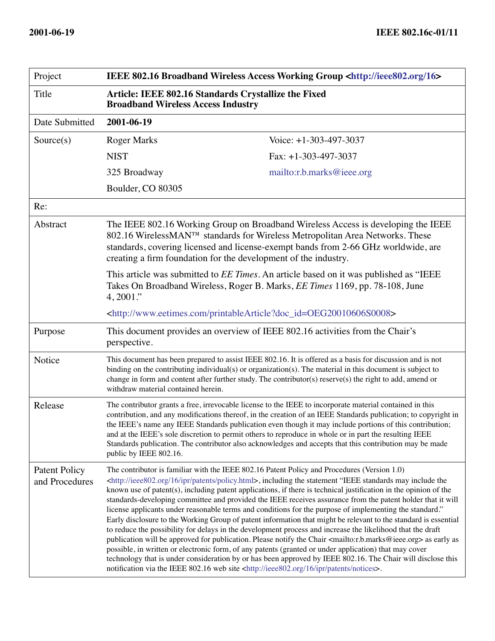| Project                                | IEEE 802.16 Broadband Wireless Access Working Group <http: 16="" ieee802.org=""></http:>                                                                                                                                                                                                                                                                                                                                                                                                                                                                                                                                                                                                                                                                                                                                                                                                                                                                                                                                                                                                                                                                                                                                                                                                                   |                           |
|----------------------------------------|------------------------------------------------------------------------------------------------------------------------------------------------------------------------------------------------------------------------------------------------------------------------------------------------------------------------------------------------------------------------------------------------------------------------------------------------------------------------------------------------------------------------------------------------------------------------------------------------------------------------------------------------------------------------------------------------------------------------------------------------------------------------------------------------------------------------------------------------------------------------------------------------------------------------------------------------------------------------------------------------------------------------------------------------------------------------------------------------------------------------------------------------------------------------------------------------------------------------------------------------------------------------------------------------------------|---------------------------|
| Title                                  | Article: IEEE 802.16 Standards Crystallize the Fixed<br><b>Broadband Wireless Access Industry</b>                                                                                                                                                                                                                                                                                                                                                                                                                                                                                                                                                                                                                                                                                                                                                                                                                                                                                                                                                                                                                                                                                                                                                                                                          |                           |
| Date Submitted                         | 2001-06-19                                                                                                                                                                                                                                                                                                                                                                                                                                                                                                                                                                                                                                                                                                                                                                                                                                                                                                                                                                                                                                                                                                                                                                                                                                                                                                 |                           |
| Source(s)                              | <b>Roger Marks</b>                                                                                                                                                                                                                                                                                                                                                                                                                                                                                                                                                                                                                                                                                                                                                                                                                                                                                                                                                                                                                                                                                                                                                                                                                                                                                         | Voice: +1-303-497-3037    |
|                                        | <b>NIST</b>                                                                                                                                                                                                                                                                                                                                                                                                                                                                                                                                                                                                                                                                                                                                                                                                                                                                                                                                                                                                                                                                                                                                                                                                                                                                                                | Fax: $+1-303-497-3037$    |
|                                        | 325 Broadway                                                                                                                                                                                                                                                                                                                                                                                                                                                                                                                                                                                                                                                                                                                                                                                                                                                                                                                                                                                                                                                                                                                                                                                                                                                                                               | mailto:r.b.marks@ieee.org |
|                                        | Boulder, CO 80305                                                                                                                                                                                                                                                                                                                                                                                                                                                                                                                                                                                                                                                                                                                                                                                                                                                                                                                                                                                                                                                                                                                                                                                                                                                                                          |                           |
| Re:                                    |                                                                                                                                                                                                                                                                                                                                                                                                                                                                                                                                                                                                                                                                                                                                                                                                                                                                                                                                                                                                                                                                                                                                                                                                                                                                                                            |                           |
| Abstract                               | The IEEE 802.16 Working Group on Broadband Wireless Access is developing the IEEE<br>802.16 WirelessMAN™ standards for Wireless Metropolitan Area Networks. These<br>standards, covering licensed and license-exempt bands from 2-66 GHz worldwide, are<br>creating a firm foundation for the development of the industry.<br>This article was submitted to <i>EE Times</i> . An article based on it was published as "IEEE<br>Takes On Broadband Wireless, Roger B. Marks, <i>EE Times</i> 1169, pp. 78-108, June<br>$4,2001$ ."<br><http: printablearticle?doc_id="OEG20010606S0008" www.eetimes.com=""></http:>                                                                                                                                                                                                                                                                                                                                                                                                                                                                                                                                                                                                                                                                                         |                           |
|                                        |                                                                                                                                                                                                                                                                                                                                                                                                                                                                                                                                                                                                                                                                                                                                                                                                                                                                                                                                                                                                                                                                                                                                                                                                                                                                                                            |                           |
|                                        |                                                                                                                                                                                                                                                                                                                                                                                                                                                                                                                                                                                                                                                                                                                                                                                                                                                                                                                                                                                                                                                                                                                                                                                                                                                                                                            |                           |
| Purpose                                | This document provides an overview of IEEE 802.16 activities from the Chair's<br>perspective.                                                                                                                                                                                                                                                                                                                                                                                                                                                                                                                                                                                                                                                                                                                                                                                                                                                                                                                                                                                                                                                                                                                                                                                                              |                           |
| Notice                                 | This document has been prepared to assist IEEE 802.16. It is offered as a basis for discussion and is not<br>binding on the contributing individual(s) or organization(s). The material in this document is subject to<br>change in form and content after further study. The contributor(s) reserve(s) the right to add, amend or<br>withdraw material contained herein.                                                                                                                                                                                                                                                                                                                                                                                                                                                                                                                                                                                                                                                                                                                                                                                                                                                                                                                                  |                           |
| Release                                | The contributor grants a free, irrevocable license to the IEEE to incorporate material contained in this<br>contribution, and any modifications thereof, in the creation of an IEEE Standards publication; to copyright in<br>the IEEE's name any IEEE Standards publication even though it may include portions of this contribution;<br>and at the IEEE's sole discretion to permit others to reproduce in whole or in part the resulting IEEE<br>Standards publication. The contributor also acknowledges and accepts that this contribution may be made<br>public by IEEE 802.16.                                                                                                                                                                                                                                                                                                                                                                                                                                                                                                                                                                                                                                                                                                                      |                           |
| <b>Patent Policy</b><br>and Procedures | The contributor is familiar with the IEEE 802.16 Patent Policy and Procedures (Version 1.0)<br><http: 16="" ieee802.org="" ipr="" patents="" policy.html="">, including the statement "IEEE standards may include the<br/>known use of patent(s), including patent applications, if there is technical justification in the opinion of the<br/>standards-developing committee and provided the IEEE receives assurance from the patent holder that it will<br/>license applicants under reasonable terms and conditions for the purpose of implementing the standard."<br/>Early disclosure to the Working Group of patent information that might be relevant to the standard is essential<br/>to reduce the possibility for delays in the development process and increase the likelihood that the draft<br/>publication will be approved for publication. Please notify the Chair <mailto:r.b.marks@ieee.org> as early as<br/>possible, in written or electronic form, of any patents (granted or under application) that may cover<br/>technology that is under consideration by or has been approved by IEEE 802.16. The Chair will disclose this<br/>notification via the IEEE 802.16 web site <http: 16="" ieee802.org="" ipr="" notices="" patents="">.</http:></mailto:r.b.marks@ieee.org></http:> |                           |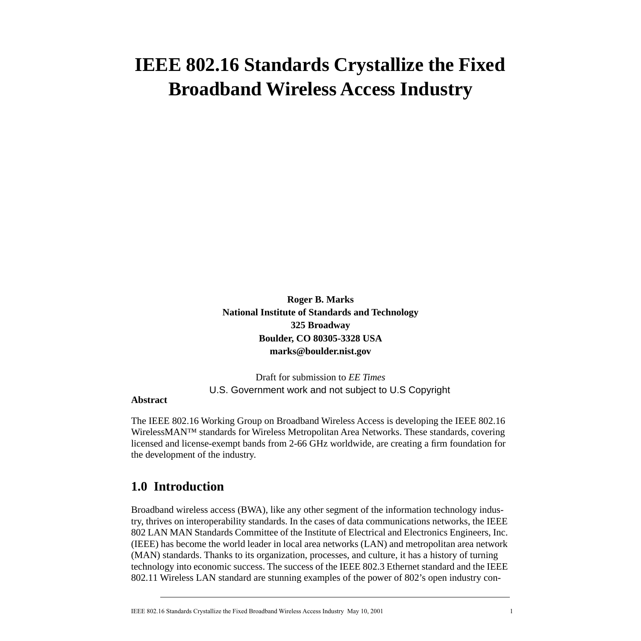# **IEEE 802.16 Standards Crystallize the Fixed Broadband Wireless Access Industry**

**Roger B. Marks National Institute of Standards and Technology 325 Broadway Boulder, CO 80305-3328 USA marks@boulder.nist.gov**

Draft for submission to *EE Times* U.S. Government work and not subject to U.S Copyright

#### **Abstract**

The IEEE 802.16 Working Group on Broadband Wireless Access is developing the IEEE 802.16 WirelessMAN™ standards for Wireless Metropolitan Area Networks. These standards, covering licensed and license-exempt bands from 2-66 GHz worldwide, are creating a firm foundation for the development of the industry.

### **1.0 Introduction**

Broadband wireless access (BWA), like any other segment of the information technology industry, thrives on interoperability standards. In the cases of data communications networks, the IEEE 802 LAN MAN Standards Committee of the Institute of Electrical and Electronics Engineers, Inc. (IEEE) has become the world leader in local area networks (LAN) and metropolitan area network (MAN) standards. Thanks to its organization, processes, and culture, it has a history of turning technology into economic success. The success of the IEEE 802.3 Ethernet standard and the IEEE 802.11 Wireless LAN standard are stunning examples of the power of 802's open industry con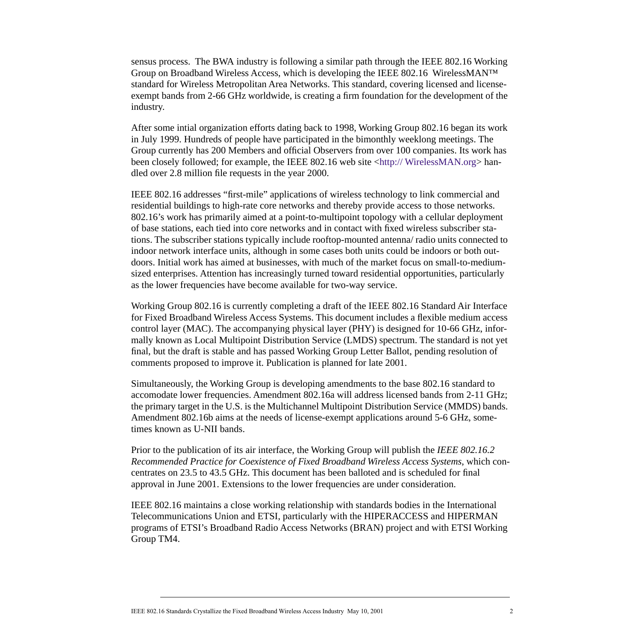sensus process. The BWA industry is following a similar path through the IEEE 802.16 Working Group on Broadband Wireless Access, which is developing the IEEE 802.16 WirelessMAN™ standard for Wireless Metropolitan Area Networks. This standard, covering licensed and licenseexempt bands from 2-66 GHz worldwide, is creating a firm foundation for the development of the industry.

After some intial organization efforts dating back to 1998, Working Group 802.16 began its work in July 1999. Hundreds of people have participated in the bimonthly weeklong meetings. The Group currently has 200 Members and official Observers from over 100 companies. Its work has been closely followed; for example, the IEEE 802.16 web site <[http:// WirelessMAN.org>](http://WirelessMAN.org) handled over 2.8 million file requests in the year 2000.

IEEE 802.16 addresses "first-mile" applications of wireless technology to link commercial and residential buildings to high-rate core networks and thereby provide access to those networks. 802.16's work has primarily aimed at a point-to-multipoint topology with a cellular deployment of base stations, each tied into core networks and in contact with fixed wireless subscriber stations. The subscriber stations typically include rooftop-mounted antenna/ radio units connected to indoor network interface units, although in some cases both units could be indoors or both outdoors. Initial work has aimed at businesses, with much of the market focus on small-to-mediumsized enterprises. Attention has increasingly turned toward residential opportunities, particularly as the lower frequencies have become available for two-way service.

Working Group 802.16 is currently completing a draft of the IEEE 802.16 Standard Air Interface for Fixed Broadband Wireless Access Systems. This document includes a flexible medium access control layer (MAC). The accompanying physical layer (PHY) is designed for 10-66 GHz, informally known as Local Multipoint Distribution Service (LMDS) spectrum. The standard is not yet final, but the draft is stable and has passed Working Group Letter Ballot, pending resolution of comments proposed to improve it. Publication is planned for late 2001.

Simultaneously, the Working Group is developing amendments to the base 802.16 standard to accomodate lower frequencies. Amendment 802.16a will address licensed bands from 2-11 GHz; the primary target in the U.S. is the Multichannel Multipoint Distribution Service (MMDS) bands. Amendment 802.16b aims at the needs of license-exempt applications around 5-6 GHz, sometimes known as U-NII bands.

Prior to the publication of its air interface, the Working Group will publish the *IEEE 802.16.2 Recommended Practice for Coexistence of Fixed Broadband Wireless Access Systems*, which concentrates on 23.5 to 43.5 GHz. This document has been balloted and is scheduled for final approval in June 2001. Extensions to the lower frequencies are under consideration.

IEEE 802.16 maintains a close working relationship with standards bodies in the International Telecommunications Union and ETSI, particularly with the HIPERACCESS and HIPERMAN programs of ETSI's Broadband Radio Access Networks (BRAN) project and with ETSI Working Group TM4.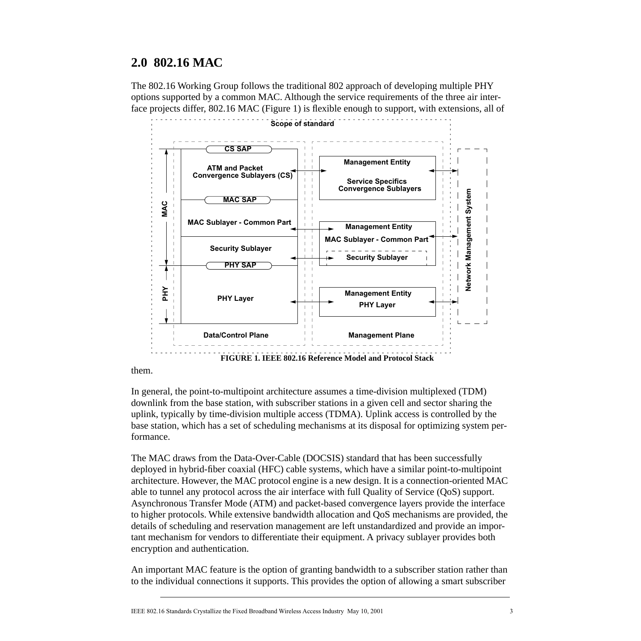# **2.0 802.16 MAC**

The 802.16 Working Group follows the traditional 802 approach of developing multiple PHY options supported by a common MAC. Although the service requirements of the three air interface projects differ, 802.16 MAC (Figure 1) is flexible enough to support, with extensions, all of



them.

In general, the point-to-multipoint architecture assumes a time-division multiplexed (TDM) downlink from the base station, with subscriber stations in a given cell and sector sharing the uplink, typically by time-division multiple access (TDMA). Uplink access is controlled by the base station, which has a set of scheduling mechanisms at its disposal for optimizing system performance.

The MAC draws from the Data-Over-Cable (DOCSIS) standard that has been successfully deployed in hybrid-fiber coaxial (HFC) cable systems, which have a similar point-to-multipoint architecture. However, the MAC protocol engine is a new design. It is a connection-oriented MAC able to tunnel any protocol across the air interface with full Quality of Service (QoS) support. Asynchronous Transfer Mode (ATM) and packet-based convergence layers provide the interface to higher protocols. While extensive bandwidth allocation and QoS mechanisms are provided, the details of scheduling and reservation management are left unstandardized and provide an important mechanism for vendors to differentiate their equipment. A privacy sublayer provides both encryption and authentication.

An important MAC feature is the option of granting bandwidth to a subscriber station rather than to the individual connections it supports. This provides the option of allowing a smart subscriber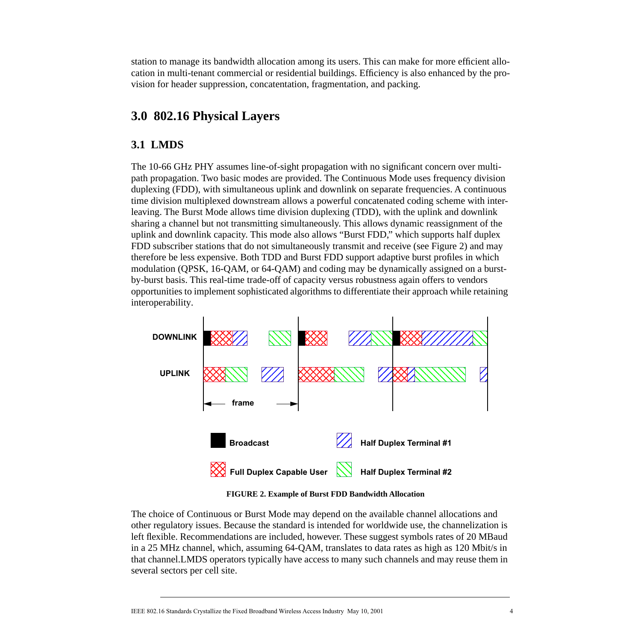station to manage its bandwidth allocation among its users. This can make for more efficient allocation in multi-tenant commercial or residential buildings. Efficiency is also enhanced by the provision for header suppression, concatentation, fragmentation, and packing.

# **3.0 802.16 Physical Layers**

### **3.1 LMDS**

The 10-66 GHz PHY assumes line-of-sight propagation with no significant concern over multipath propagation. Two basic modes are provided. The Continuous Mode uses frequency division duplexing (FDD), with simultaneous uplink and downlink on separate frequencies. A continuous time division multiplexed downstream allows a powerful concatenated coding scheme with interleaving. The Burst Mode allows time division duplexing (TDD), with the uplink and downlink sharing a channel but not transmitting simultaneously. This allows dynamic reassignment of the uplink and downlink capacity. This mode also allows "Burst FDD," which supports half duplex FDD subscriber stations that do not simultaneously transmit and receive (see Figure 2) and may therefore be less expensive. Both TDD and Burst FDD support adaptive burst profiles in which modulation (QPSK, 16-QAM, or 64-QAM) and coding may be dynamically assigned on a burstby-burst basis. This real-time trade-off of capacity versus robustness again offers to vendors opportunities to implement sophisticated algorithms to differentiate their approach while retaining interoperability.



**FIGURE 2. Example of Burst FDD Bandwidth Allocation**

The choice of Continuous or Burst Mode may depend on the available channel allocations and other regulatory issues. Because the standard is intended for worldwide use, the channelization is left flexible. Recommendations are included, however. These suggest symbols rates of 20 MBaud in a 25 MHz channel, which, assuming 64-QAM, translates to data rates as high as 120 Mbit/s in that channel.LMDS operators typically have access to many such channels and may reuse them in several sectors per cell site.